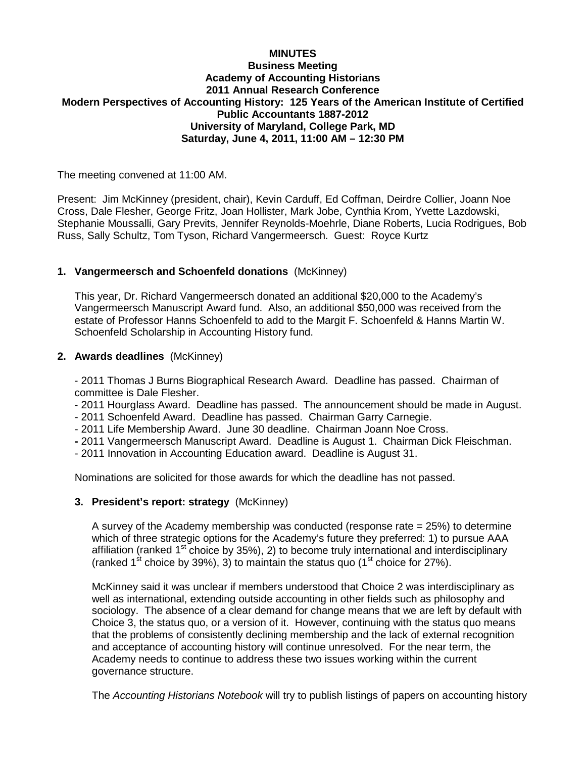## **MINUTES Business Meeting Academy of Accounting Historians 2011 Annual Research Conference Modern Perspectives of Accounting History: 125 Years of the American Institute of Certified Public Accountants 1887-2012 University of Maryland, College Park, MD Saturday, June 4, 2011, 11:00 AM – 12:30 PM**

The meeting convened at 11:00 AM.

Present: Jim McKinney (president, chair), Kevin Carduff, Ed Coffman, Deirdre Collier, Joann Noe Cross, Dale Flesher, George Fritz, Joan Hollister, Mark Jobe, Cynthia Krom, Yvette Lazdowski, Stephanie Moussalli, Gary Previts, Jennifer Reynolds-Moehrle, Diane Roberts, Lucia Rodrigues, Bob Russ, Sally Schultz, Tom Tyson, Richard Vangermeersch. Guest: Royce Kurtz

# **1. Vangermeersch and Schoenfeld donations** (McKinney)

This year, Dr. Richard Vangermeersch donated an additional \$20,000 to the Academy's Vangermeersch Manuscript Award fund. Also, an additional \$50,000 was received from the estate of Professor Hanns Schoenfeld to add to the Margit F. Schoenfeld & Hanns Martin W. Schoenfeld Scholarship in Accounting History fund.

## **2. Awards deadlines** (McKinney)

- 2011 Thomas J Burns Biographical Research Award. Deadline has passed. Chairman of committee is Dale Flesher.

- 2011 Hourglass Award. Deadline has passed. The announcement should be made in August.
- 2011 Schoenfeld Award. Deadline has passed. Chairman Garry Carnegie.
- 2011 Life Membership Award. June 30 deadline. Chairman Joann Noe Cross.
- **-** 2011 Vangermeersch Manuscript Award. Deadline is August 1. Chairman Dick Fleischman.
- 2011 Innovation in Accounting Education award. Deadline is August 31.

Nominations are solicited for those awards for which the deadline has not passed.

# **3. President's report: strategy** (McKinney)

A survey of the Academy membership was conducted (response rate  $= 25\%$ ) to determine which of three strategic options for the Academy's future they preferred: 1) to pursue AAA affiliation (ranked  $1<sup>st</sup>$  choice by 35%), 2) to become truly international and interdisciplinary (ranked 1<sup>st</sup> choice by 39%), 3) to maintain the status quo (1<sup>st</sup> choice for 27%).

McKinney said it was unclear if members understood that Choice 2 was interdisciplinary as well as international, extending outside accounting in other fields such as philosophy and sociology. The absence of a clear demand for change means that we are left by default with Choice 3, the status quo, or a version of it. However, continuing with the status quo means that the problems of consistently declining membership and the lack of external recognition and acceptance of accounting history will continue unresolved. For the near term, the Academy needs to continue to address these two issues working within the current governance structure.

The *Accounting Historians Notebook* will try to publish listings of papers on accounting history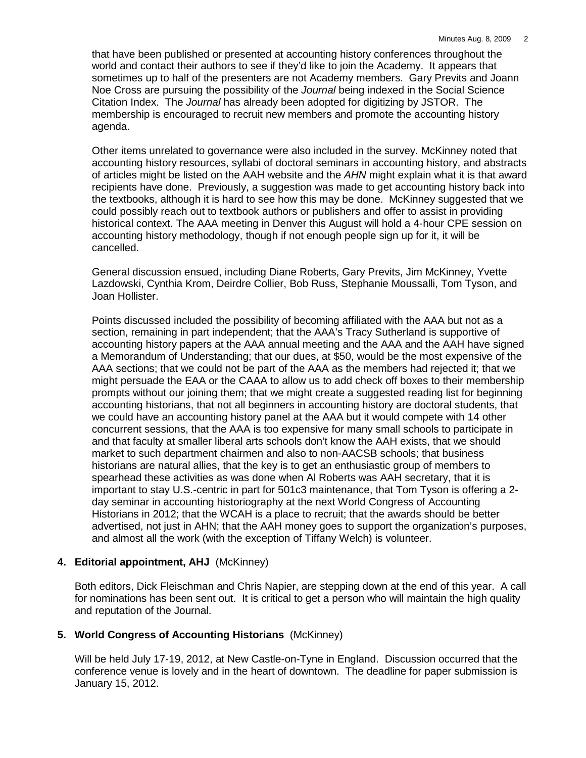that have been published or presented at accounting history conferences throughout the world and contact their authors to see if they'd like to join the Academy. It appears that sometimes up to half of the presenters are not Academy members. Gary Previts and Joann Noe Cross are pursuing the possibility of the *Journal* being indexed in the Social Science Citation Index. The *Journal* has already been adopted for digitizing by JSTOR. The membership is encouraged to recruit new members and promote the accounting history agenda.

Other items unrelated to governance were also included in the survey. McKinney noted that accounting history resources, syllabi of doctoral seminars in accounting history, and abstracts of articles might be listed on the AAH website and the *AHN* might explain what it is that award recipients have done. Previously, a suggestion was made to get accounting history back into the textbooks, although it is hard to see how this may be done. McKinney suggested that we could possibly reach out to textbook authors or publishers and offer to assist in providing historical context. The AAA meeting in Denver this August will hold a 4-hour CPE session on accounting history methodology, though if not enough people sign up for it, it will be cancelled.

General discussion ensued, including Diane Roberts, Gary Previts, Jim McKinney, Yvette Lazdowski, Cynthia Krom, Deirdre Collier, Bob Russ, Stephanie Moussalli, Tom Tyson, and Joan Hollister.

Points discussed included the possibility of becoming affiliated with the AAA but not as a section, remaining in part independent; that the AAA's Tracy Sutherland is supportive of accounting history papers at the AAA annual meeting and the AAA and the AAH have signed a Memorandum of Understanding; that our dues, at \$50, would be the most expensive of the AAA sections; that we could not be part of the AAA as the members had rejected it; that we might persuade the EAA or the CAAA to allow us to add check off boxes to their membership prompts without our joining them; that we might create a suggested reading list for beginning accounting historians, that not all beginners in accounting history are doctoral students, that we could have an accounting history panel at the AAA but it would compete with 14 other concurrent sessions, that the AAA is too expensive for many small schools to participate in and that faculty at smaller liberal arts schools don't know the AAH exists, that we should market to such department chairmen and also to non-AACSB schools; that business historians are natural allies, that the key is to get an enthusiastic group of members to spearhead these activities as was done when Al Roberts was AAH secretary, that it is important to stay U.S.-centric in part for 501c3 maintenance, that Tom Tyson is offering a 2 day seminar in accounting historiography at the next World Congress of Accounting Historians in 2012; that the WCAH is a place to recruit; that the awards should be better advertised, not just in AHN; that the AAH money goes to support the organization's purposes, and almost all the work (with the exception of Tiffany Welch) is volunteer.

# **4. Editorial appointment, AHJ** (McKinney)

Both editors, Dick Fleischman and Chris Napier, are stepping down at the end of this year. A call for nominations has been sent out. It is critical to get a person who will maintain the high quality and reputation of the Journal.

# **5. World Congress of Accounting Historians** (McKinney)

Will be held July 17-19, 2012, at New Castle-on-Tyne in England. Discussion occurred that the conference venue is lovely and in the heart of downtown. The deadline for paper submission is January 15, 2012.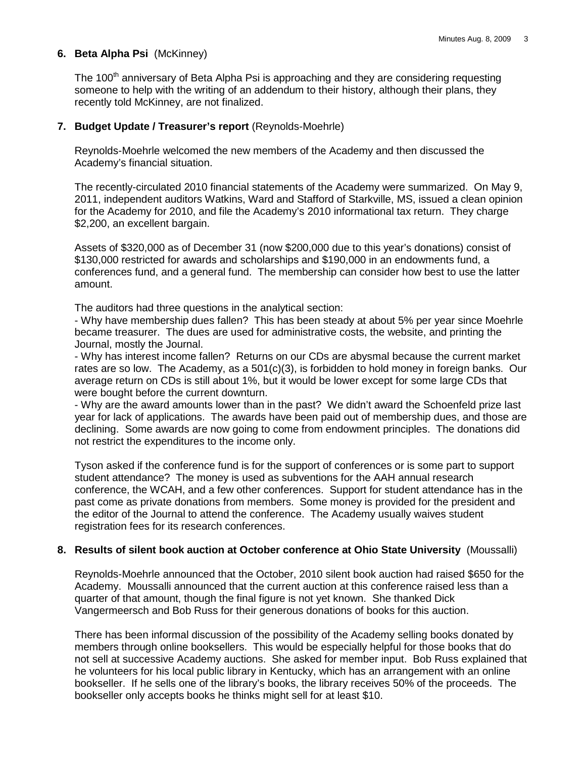## **6. Beta Alpha Psi** (McKinney)

The 100<sup>th</sup> anniversary of Beta Alpha Psi is approaching and they are considering requesting someone to help with the writing of an addendum to their history, although their plans, they recently told McKinney, are not finalized.

#### **7. Budget Update / Treasurer's report** (Reynolds-Moehrle)

Reynolds-Moehrle welcomed the new members of the Academy and then discussed the Academy's financial situation.

The recently-circulated 2010 financial statements of the Academy were summarized. On May 9, 2011, independent auditors Watkins, Ward and Stafford of Starkville, MS, issued a clean opinion for the Academy for 2010, and file the Academy's 2010 informational tax return. They charge \$2,200, an excellent bargain.

Assets of \$320,000 as of December 31 (now \$200,000 due to this year's donations) consist of \$130,000 restricted for awards and scholarships and \$190,000 in an endowments fund, a conferences fund, and a general fund. The membership can consider how best to use the latter amount.

The auditors had three questions in the analytical section:

- Why have membership dues fallen? This has been steady at about 5% per year since Moehrle became treasurer. The dues are used for administrative costs, the website, and printing the Journal, mostly the Journal.

- Why has interest income fallen? Returns on our CDs are abysmal because the current market rates are so low. The Academy, as a 501(c)(3), is forbidden to hold money in foreign banks. Our average return on CDs is still about 1%, but it would be lower except for some large CDs that were bought before the current downturn.

- Why are the award amounts lower than in the past? We didn't award the Schoenfeld prize last year for lack of applications. The awards have been paid out of membership dues, and those are declining. Some awards are now going to come from endowment principles. The donations did not restrict the expenditures to the income only.

Tyson asked if the conference fund is for the support of conferences or is some part to support student attendance? The money is used as subventions for the AAH annual research conference, the WCAH, and a few other conferences. Support for student attendance has in the past come as private donations from members. Some money is provided for the president and the editor of the Journal to attend the conference. The Academy usually waives student registration fees for its research conferences.

### **8. Results of silent book auction at October conference at Ohio State University** (Moussalli)

Reynolds-Moehrle announced that the October, 2010 silent book auction had raised \$650 for the Academy. Moussalli announced that the current auction at this conference raised less than a quarter of that amount, though the final figure is not yet known. She thanked Dick Vangermeersch and Bob Russ for their generous donations of books for this auction.

There has been informal discussion of the possibility of the Academy selling books donated by members through online booksellers. This would be especially helpful for those books that do not sell at successive Academy auctions. She asked for member input. Bob Russ explained that he volunteers for his local public library in Kentucky, which has an arrangement with an online bookseller. If he sells one of the library's books, the library receives 50% of the proceeds. The bookseller only accepts books he thinks might sell for at least \$10.